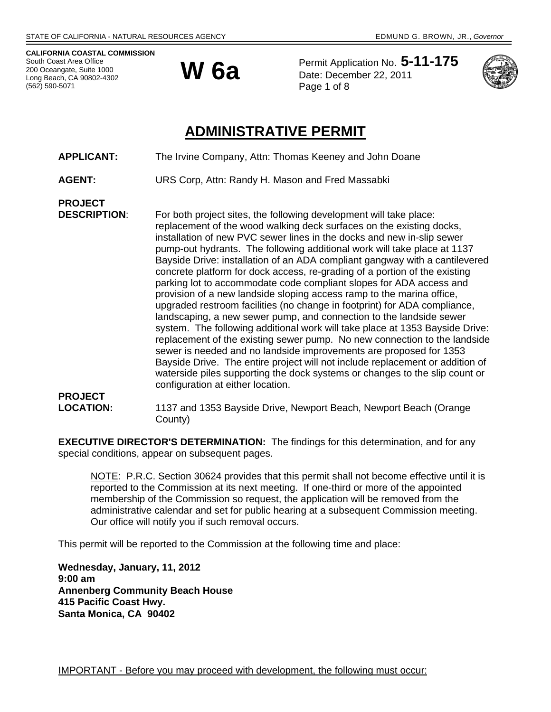**CALIFORNIA COASTAL COMMISSION**  South Coast Area Office 200 Oceangate, Suite 1000 Long Beach, CA 90802-4302 (562) 590-5071



Permit Application No. **5-11-175 W 6a** Permit Application No. 3-<br>Date: December 22, 2011 Page 1 of 8



## **ADMINISTRATIVE PERMIT**

- **APPLICANT:** The Irvine Company, Attn: Thomas Keeney and John Doane
- **AGENT:** URS Corp, Attn: Randy H. Mason and Fred Massabki
- **PROJECT**

**DESCRIPTION:** For both project sites, the following development will take place: replacement of the wood walking deck surfaces on the existing docks, installation of new PVC sewer lines in the docks and new in-slip sewer pump-out hydrants. The following additional work will take place at 1137 Bayside Drive: installation of an ADA compliant gangway with a cantilevered concrete platform for dock access, re-grading of a portion of the existing parking lot to accommodate code compliant slopes for ADA access and provision of a new landside sloping access ramp to the marina office, upgraded restroom facilities (no change in footprint) for ADA compliance, landscaping, a new sewer pump, and connection to the landside sewer system. The following additional work will take place at 1353 Bayside Drive: replacement of the existing sewer pump. No new connection to the landside sewer is needed and no landside improvements are proposed for 1353 Bayside Drive. The entire project will not include replacement or addition of waterside piles supporting the dock systems or changes to the slip count or configuration at either location.

# **PROJECT**

**LOCATION:** 1137 and 1353 Bayside Drive, Newport Beach, Newport Beach (Orange County)

**EXECUTIVE DIRECTOR'S DETERMINATION:** The findings for this determination, and for any special conditions, appear on subsequent pages.

NOTE: P.R.C. Section 30624 provides that this permit shall not become effective until it is reported to the Commission at its next meeting. If one-third or more of the appointed membership of the Commission so request, the application will be removed from the administrative calendar and set for public hearing at a subsequent Commission meeting. Our office will notify you if such removal occurs.

This permit will be reported to the Commission at the following time and place:

**Wednesday, January, 11, 2012 9:00 am Annenberg Community Beach House 415 Pacific Coast Hwy. Santa Monica, CA 90402**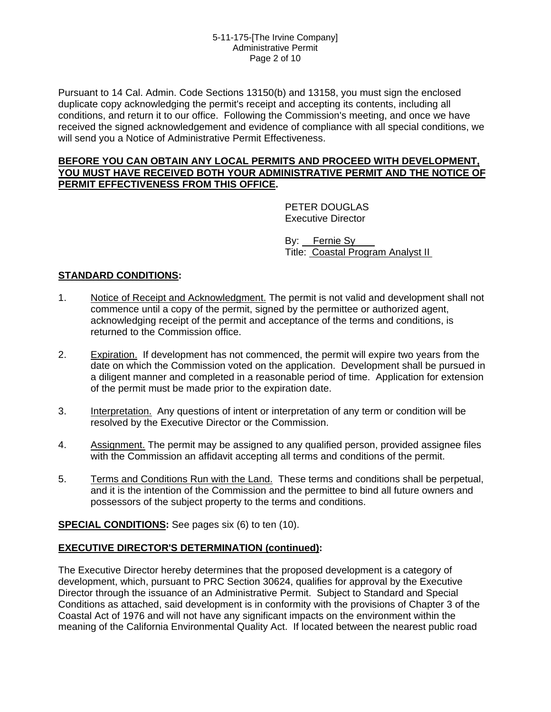#### 5-11-175-[The Irvine Company] Administrative Permit Page 2 of 10

Pursuant to 14 Cal. Admin. Code Sections 13150(b) and 13158, you must sign the enclosed duplicate copy acknowledging the permit's receipt and accepting its contents, including all conditions, and return it to our office. Following the Commission's meeting, and once we have received the signed acknowledgement and evidence of compliance with all special conditions, we will send you a Notice of Administrative Permit Effectiveness.

#### **BEFORE YOU CAN OBTAIN ANY LOCAL PERMITS AND PROCEED WITH DEVELOPMENT, YOU MUST HAVE RECEIVED BOTH YOUR ADMINISTRATIVE PERMIT AND THE NOTICE OF PERMIT EFFECTIVENESS FROM THIS OFFICE.**

 PETER DOUGLAS Executive Director

 By: Fernie Sy Title: Coastal Program Analyst II

## **STANDARD CONDITIONS:**

- 1. Notice of Receipt and Acknowledgment. The permit is not valid and development shall not commence until a copy of the permit, signed by the permittee or authorized agent, acknowledging receipt of the permit and acceptance of the terms and conditions, is returned to the Commission office.
- 2. Expiration. If development has not commenced, the permit will expire two years from the date on which the Commission voted on the application. Development shall be pursued in a diligent manner and completed in a reasonable period of time. Application for extension of the permit must be made prior to the expiration date.
- 3. Interpretation. Any questions of intent or interpretation of any term or condition will be resolved by the Executive Director or the Commission.
- 4. Assignment. The permit may be assigned to any qualified person, provided assignee files with the Commission an affidavit accepting all terms and conditions of the permit.
- 5. Terms and Conditions Run with the Land. These terms and conditions shall be perpetual, and it is the intention of the Commission and the permittee to bind all future owners and possessors of the subject property to the terms and conditions.

**SPECIAL CONDITIONS:** See pages six (6) to ten (10).

#### **EXECUTIVE DIRECTOR'S DETERMINATION (continued):**

The Executive Director hereby determines that the proposed development is a category of development, which, pursuant to PRC Section 30624, qualifies for approval by the Executive Director through the issuance of an Administrative Permit. Subject to Standard and Special Conditions as attached, said development is in conformity with the provisions of Chapter 3 of the Coastal Act of 1976 and will not have any significant impacts on the environment within the meaning of the California Environmental Quality Act. If located between the nearest public road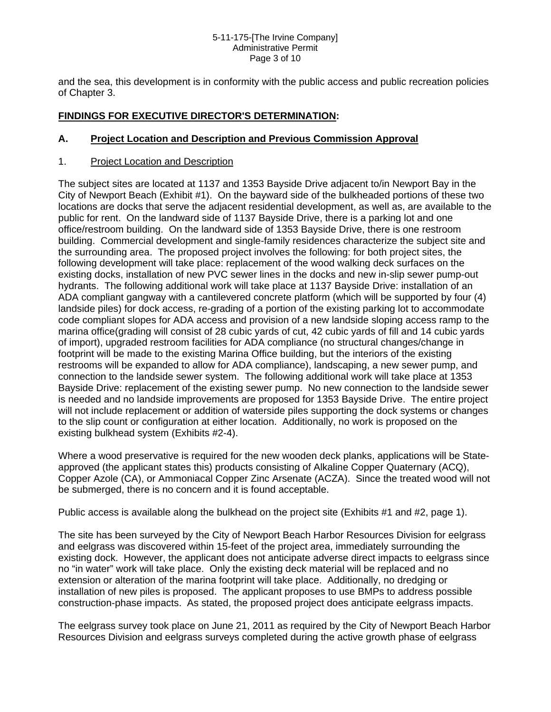#### 5-11-175-[The Irvine Company] Administrative Permit Page 3 of 10

and the sea, this development is in conformity with the public access and public recreation policies of Chapter 3.

## **FINDINGS FOR EXECUTIVE DIRECTOR'S DETERMINATION:**

#### **A. Project Location and Description and Previous Commission Approval**

#### 1. Project Location and Description

The subject sites are located at 1137 and 1353 Bayside Drive adjacent to/in Newport Bay in the City of Newport Beach (Exhibit #1). On the bayward side of the bulkheaded portions of these two locations are docks that serve the adjacent residential development, as well as, are available to the public for rent. On the landward side of 1137 Bayside Drive, there is a parking lot and one office/restroom building. On the landward side of 1353 Bayside Drive, there is one restroom building. Commercial development and single-family residences characterize the subject site and the surrounding area. The proposed project involves the following: for both project sites, the following development will take place: replacement of the wood walking deck surfaces on the existing docks, installation of new PVC sewer lines in the docks and new in-slip sewer pump-out hydrants. The following additional work will take place at 1137 Bayside Drive: installation of an ADA compliant gangway with a cantilevered concrete platform (which will be supported by four (4) landside piles) for dock access, re-grading of a portion of the existing parking lot to accommodate code compliant slopes for ADA access and provision of a new landside sloping access ramp to the marina office(grading will consist of 28 cubic yards of cut, 42 cubic yards of fill and 14 cubic yards of import), upgraded restroom facilities for ADA compliance (no structural changes/change in footprint will be made to the existing Marina Office building, but the interiors of the existing restrooms will be expanded to allow for ADA compliance), landscaping, a new sewer pump, and connection to the landside sewer system. The following additional work will take place at 1353 Bayside Drive: replacement of the existing sewer pump. No new connection to the landside sewer is needed and no landside improvements are proposed for 1353 Bayside Drive. The entire project will not include replacement or addition of waterside piles supporting the dock systems or changes to the slip count or configuration at either location. Additionally, no work is proposed on the existing bulkhead system (Exhibits #2-4).

Where a wood preservative is required for the new wooden deck planks, applications will be Stateapproved (the applicant states this) products consisting of Alkaline Copper Quaternary (ACQ), Copper Azole (CA), or Ammoniacal Copper Zinc Arsenate (ACZA). Since the treated wood will not be submerged, there is no concern and it is found acceptable.

Public access is available along the bulkhead on the project site (Exhibits #1 and #2, page 1).

The site has been surveyed by the City of Newport Beach Harbor Resources Division for eelgrass and eelgrass was discovered within 15-feet of the project area, immediately surrounding the existing dock. However, the applicant does not anticipate adverse direct impacts to eelgrass since no "in water" work will take place. Only the existing deck material will be replaced and no extension or alteration of the marina footprint will take place. Additionally, no dredging or installation of new piles is proposed. The applicant proposes to use BMPs to address possible construction-phase impacts. As stated, the proposed project does anticipate eelgrass impacts.

The eelgrass survey took place on June 21, 2011 as required by the City of Newport Beach Harbor Resources Division and eelgrass surveys completed during the active growth phase of eelgrass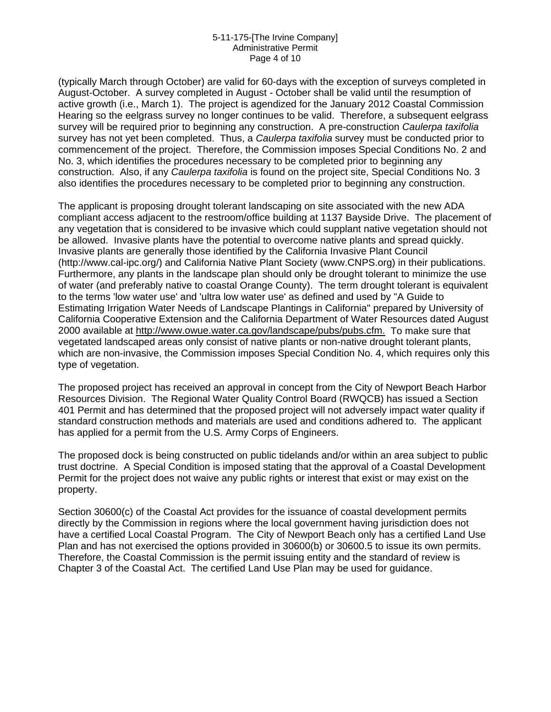#### 5-11-175-[The Irvine Company] Administrative Permit Page 4 of 10

(typically March through October) are valid for 60-days with the exception of surveys completed in August-October. A survey completed in August - October shall be valid until the resumption of active growth (i.e., March 1). The project is agendized for the January 2012 Coastal Commission Hearing so the eelgrass survey no longer continues to be valid. Therefore, a subsequent eelgrass survey will be required prior to beginning any construction. A pre-construction *Caulerpa taxifolia* survey has not yet been completed. Thus, a *Caulerpa taxifolia* survey must be conducted prior to commencement of the project. Therefore, the Commission imposes Special Conditions No. 2 and No. 3, which identifies the procedures necessary to be completed prior to beginning any construction. Also, if any *Caulerpa taxifolia* is found on the project site, Special Conditions No. 3 also identifies the procedures necessary to be completed prior to beginning any construction.

The applicant is proposing drought tolerant landscaping on site associated with the new ADA compliant access adjacent to the restroom/office building at 1137 Bayside Drive. The placement of any vegetation that is considered to be invasive which could supplant native vegetation should not be allowed. Invasive plants have the potential to overcome native plants and spread quickly. Invasive plants are generally those identified by the California Invasive Plant Council (http://www.cal-ipc.org/) and California Native Plant Society (www.CNPS.org) in their publications. Furthermore, any plants in the landscape plan should only be drought tolerant to minimize the use of water (and preferably native to coastal Orange County). The term drought tolerant is equivalent to the terms 'low water use' and 'ultra low water use' as defined and used by "A Guide to Estimating Irrigation Water Needs of Landscape Plantings in California" prepared by University of California Cooperative Extension and the California Department of Water Resources dated August 2000 available at [http://www.owue.water.ca.gov/landscape/pubs/pubs.cfm.](http://www.owue.water.ca.gov/landscape/pubs/pubs.cfm.[add) To make sure that vegetated landscaped areas only consist of native plants or non-native drought tolerant plants, which are non-invasive, the Commission imposes Special Condition No. 4, which requires only this type of vegetation.

The proposed project has received an approval in concept from the City of Newport Beach Harbor Resources Division. The Regional Water Quality Control Board (RWQCB) has issued a Section 401 Permit and has determined that the proposed project will not adversely impact water quality if standard construction methods and materials are used and conditions adhered to. The applicant has applied for a permit from the U.S. Army Corps of Engineers.

The proposed dock is being constructed on public tidelands and/or within an area subject to public trust doctrine. A Special Condition is imposed stating that the approval of a Coastal Development Permit for the project does not waive any public rights or interest that exist or may exist on the property.

Section 30600(c) of the Coastal Act provides for the issuance of coastal development permits directly by the Commission in regions where the local government having jurisdiction does not have a certified Local Coastal Program. The City of Newport Beach only has a certified Land Use Plan and has not exercised the options provided in 30600(b) or 30600.5 to issue its own permits. Therefore, the Coastal Commission is the permit issuing entity and the standard of review is Chapter 3 of the Coastal Act. The certified Land Use Plan may be used for guidance.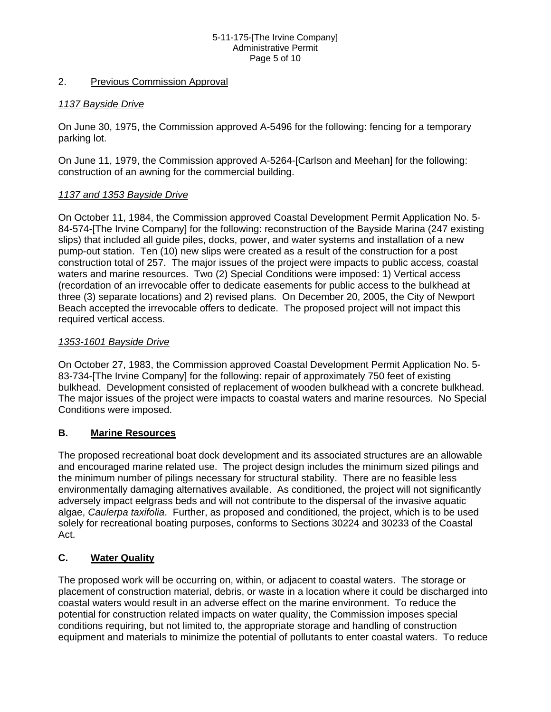#### 5-11-175-[The Irvine Company] Administrative Permit Page 5 of 10

#### 2. Previous Commission Approval

#### *1137 Bayside Drive*

On June 30, 1975, the Commission approved A-5496 for the following: fencing for a temporary parking lot.

On June 11, 1979, the Commission approved A-5264-[Carlson and Meehan] for the following: construction of an awning for the commercial building.

#### *1137 and 1353 Bayside Drive*

On October 11, 1984, the Commission approved Coastal Development Permit Application No. 5- 84-574-[The Irvine Company] for the following: reconstruction of the Bayside Marina (247 existing slips) that included all guide piles, docks, power, and water systems and installation of a new pump-out station. Ten (10) new slips were created as a result of the construction for a post construction total of 257. The major issues of the project were impacts to public access, coastal waters and marine resources. Two (2) Special Conditions were imposed: 1) Vertical access (recordation of an irrevocable offer to dedicate easements for public access to the bulkhead at three (3) separate locations) and 2) revised plans. On December 20, 2005, the City of Newport Beach accepted the irrevocable offers to dedicate. The proposed project will not impact this required vertical access.

#### *1353-1601 Bayside Drive*

On October 27, 1983, the Commission approved Coastal Development Permit Application No. 5- 83-734-[The Irvine Company] for the following: repair of approximately 750 feet of existing bulkhead. Development consisted of replacement of wooden bulkhead with a concrete bulkhead. The major issues of the project were impacts to coastal waters and marine resources. No Special Conditions were imposed.

## **B. Marine Resources**

The proposed recreational boat dock development and its associated structures are an allowable and encouraged marine related use. The project design includes the minimum sized pilings and the minimum number of pilings necessary for structural stability. There are no feasible less environmentally damaging alternatives available. As conditioned, the project will not significantly adversely impact eelgrass beds and will not contribute to the dispersal of the invasive aquatic algae, *Caulerpa taxifolia*. Further, as proposed and conditioned, the project, which is to be used solely for recreational boating purposes, conforms to Sections 30224 and 30233 of the Coastal Act.

## **C. Water Quality**

The proposed work will be occurring on, within, or adjacent to coastal waters. The storage or placement of construction material, debris, or waste in a location where it could be discharged into coastal waters would result in an adverse effect on the marine environment. To reduce the potential for construction related impacts on water quality, the Commission imposes special conditions requiring, but not limited to, the appropriate storage and handling of construction equipment and materials to minimize the potential of pollutants to enter coastal waters. To reduce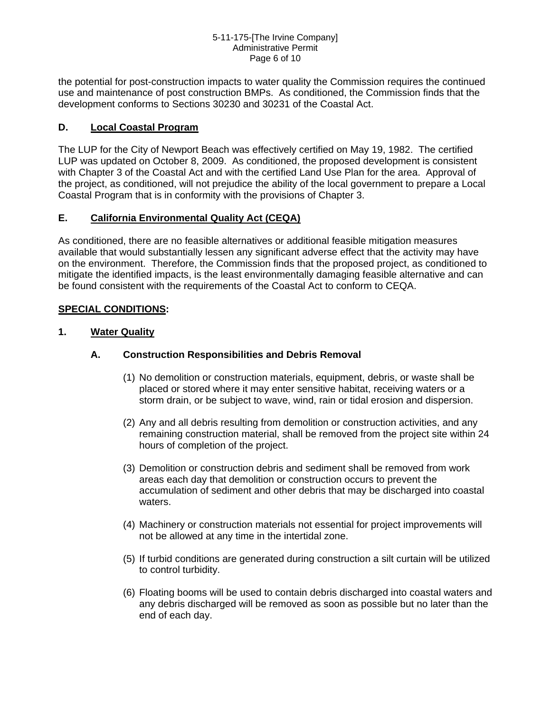#### 5-11-175-[The Irvine Company] Administrative Permit Page 6 of 10

the potential for post-construction impacts to water quality the Commission requires the continued use and maintenance of post construction BMPs. As conditioned, the Commission finds that the development conforms to Sections 30230 and 30231 of the Coastal Act.

## **D. Local Coastal Program**

The LUP for the City of Newport Beach was effectively certified on May 19, 1982. The certified LUP was updated on October 8, 2009. As conditioned, the proposed development is consistent with Chapter 3 of the Coastal Act and with the certified Land Use Plan for the area. Approval of the project, as conditioned, will not prejudice the ability of the local government to prepare a Local Coastal Program that is in conformity with the provisions of Chapter 3.

## **E. California Environmental Quality Act (CEQA)**

As conditioned, there are no feasible alternatives or additional feasible mitigation measures available that would substantially lessen any significant adverse effect that the activity may have on the environment. Therefore, the Commission finds that the proposed project, as conditioned to mitigate the identified impacts, is the least environmentally damaging feasible alternative and can be found consistent with the requirements of the Coastal Act to conform to CEQA.

#### **SPECIAL CONDITIONS:**

#### **1. Water Quality**

#### **A. Construction Responsibilities and Debris Removal**

- (1) No demolition or construction materials, equipment, debris, or waste shall be placed or stored where it may enter sensitive habitat, receiving waters or a storm drain, or be subject to wave, wind, rain or tidal erosion and dispersion.
- (2) Any and all debris resulting from demolition or construction activities, and any remaining construction material, shall be removed from the project site within 24 hours of completion of the project.
- (3) Demolition or construction debris and sediment shall be removed from work areas each day that demolition or construction occurs to prevent the accumulation of sediment and other debris that may be discharged into coastal waters.
- (4) Machinery or construction materials not essential for project improvements will not be allowed at any time in the intertidal zone.
- (5) If turbid conditions are generated during construction a silt curtain will be utilized to control turbidity.
- (6) Floating booms will be used to contain debris discharged into coastal waters and any debris discharged will be removed as soon as possible but no later than the end of each day.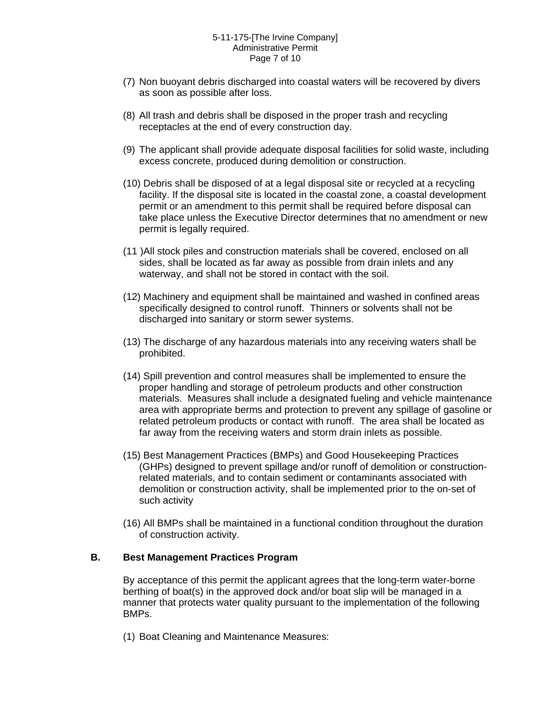- (7) Non buoyant debris discharged into coastal waters will be recovered by divers as soon as possible after loss.
- (8) All trash and debris shall be disposed in the proper trash and recycling receptacles at the end of every construction day.
- (9) The applicant shall provide adequate disposal facilities for solid waste, including excess concrete, produced during demolition or construction.
- (10) Debris shall be disposed of at a legal disposal site or recycled at a recycling facility. If the disposal site is located in the coastal zone, a coastal development permit or an amendment to this permit shall be required before disposal can take place unless the Executive Director determines that no amendment or new permit is legally required.
- (11 )All stock piles and construction materials shall be covered, enclosed on all sides, shall be located as far away as possible from drain inlets and any waterway, and shall not be stored in contact with the soil.
- (12) Machinery and equipment shall be maintained and washed in confined areas specifically designed to control runoff. Thinners or solvents shall not be discharged into sanitary or storm sewer systems.
- (13) The discharge of any hazardous materials into any receiving waters shall be prohibited.
- (14) Spill prevention and control measures shall be implemented to ensure the proper handling and storage of petroleum products and other construction materials. Measures shall include a designated fueling and vehicle maintenance area with appropriate berms and protection to prevent any spillage of gasoline or related petroleum products or contact with runoff. The area shall be located as far away from the receiving waters and storm drain inlets as possible.
- (15) Best Management Practices (BMPs) and Good Housekeeping Practices (GHPs) designed to prevent spillage and/or runoff of demolition or constructionrelated materials, and to contain sediment or contaminants associated with demolition or construction activity, shall be implemented prior to the on-set of such activity
- (16) All BMPs shall be maintained in a functional condition throughout the duration of construction activity.

#### **B. Best Management Practices Program**

By acceptance of this permit the applicant agrees that the long-term water-borne berthing of boat(s) in the approved dock and/or boat slip will be managed in a manner that protects water quality pursuant to the implementation of the following BMPs.

(1) Boat Cleaning and Maintenance Measures: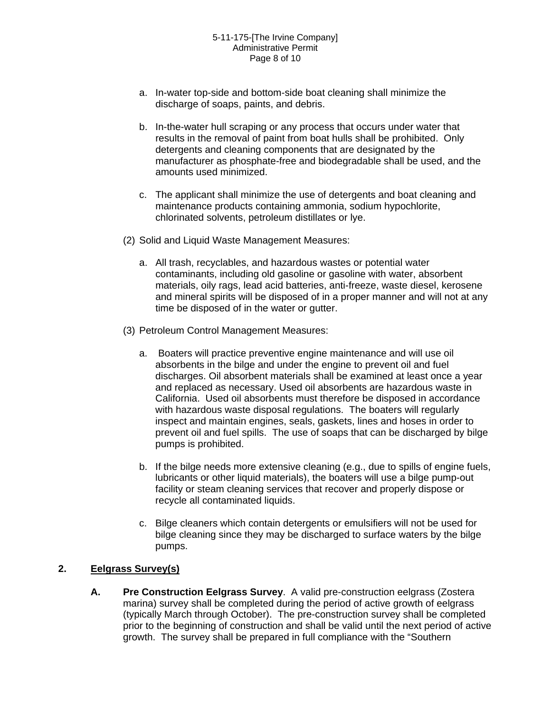- a. In-water top-side and bottom-side boat cleaning shall minimize the discharge of soaps, paints, and debris.
- b. In-the-water hull scraping or any process that occurs under water that results in the removal of paint from boat hulls shall be prohibited. Only detergents and cleaning components that are designated by the manufacturer as phosphate-free and biodegradable shall be used, and the amounts used minimized.
- c. The applicant shall minimize the use of detergents and boat cleaning and maintenance products containing ammonia, sodium hypochlorite, chlorinated solvents, petroleum distillates or lye.
- (2) Solid and Liquid Waste Management Measures:
	- a. All trash, recyclables, and hazardous wastes or potential water contaminants, including old gasoline or gasoline with water, absorbent materials, oily rags, lead acid batteries, anti-freeze, waste diesel, kerosene and mineral spirits will be disposed of in a proper manner and will not at any time be disposed of in the water or gutter.
- (3) Petroleum Control Management Measures:
	- a. Boaters will practice preventive engine maintenance and will use oil absorbents in the bilge and under the engine to prevent oil and fuel discharges. Oil absorbent materials shall be examined at least once a year and replaced as necessary. Used oil absorbents are hazardous waste in California. Used oil absorbents must therefore be disposed in accordance with hazardous waste disposal regulations. The boaters will regularly inspect and maintain engines, seals, gaskets, lines and hoses in order to prevent oil and fuel spills. The use of soaps that can be discharged by bilge pumps is prohibited.
	- b. If the bilge needs more extensive cleaning (e.g., due to spills of engine fuels, lubricants or other liquid materials), the boaters will use a bilge pump-out facility or steam cleaning services that recover and properly dispose or recycle all contaminated liquids.
	- c. Bilge cleaners which contain detergents or emulsifiers will not be used for bilge cleaning since they may be discharged to surface waters by the bilge pumps.

## **2. Eelgrass Survey(s)**

**A. Pre Construction Eelgrass Survey**. A valid pre-construction eelgrass (Zostera marina) survey shall be completed during the period of active growth of eelgrass (typically March through October). The pre-construction survey shall be completed prior to the beginning of construction and shall be valid until the next period of active growth. The survey shall be prepared in full compliance with the "Southern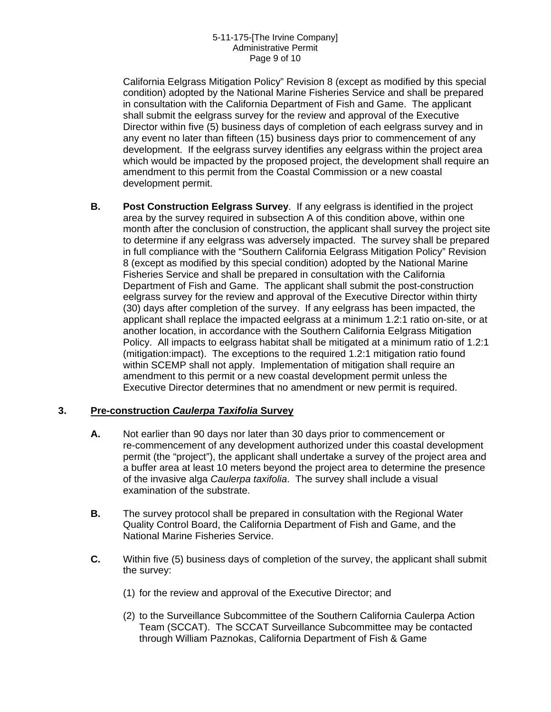California Eelgrass Mitigation Policy" Revision 8 (except as modified by this special condition) adopted by the National Marine Fisheries Service and shall be prepared in consultation with the California Department of Fish and Game. The applicant shall submit the eelgrass survey for the review and approval of the Executive Director within five (5) business days of completion of each eelgrass survey and in any event no later than fifteen (15) business days prior to commencement of any development. If the eelgrass survey identifies any eelgrass within the project area which would be impacted by the proposed project, the development shall require an amendment to this permit from the Coastal Commission or a new coastal development permit.

**B. Post Construction Eelgrass Survey**. If any eelgrass is identified in the project area by the survey required in subsection A of this condition above, within one month after the conclusion of construction, the applicant shall survey the project site to determine if any eelgrass was adversely impacted. The survey shall be prepared in full compliance with the "Southern California Eelgrass Mitigation Policy" Revision 8 (except as modified by this special condition) adopted by the National Marine Fisheries Service and shall be prepared in consultation with the California Department of Fish and Game. The applicant shall submit the post-construction eelgrass survey for the review and approval of the Executive Director within thirty (30) days after completion of the survey. If any eelgrass has been impacted, the applicant shall replace the impacted eelgrass at a minimum 1.2:1 ratio on-site, or at another location, in accordance with the Southern California Eelgrass Mitigation Policy. All impacts to eelgrass habitat shall be mitigated at a minimum ratio of 1.2:1 (mitigation:impact). The exceptions to the required 1.2:1 mitigation ratio found within SCEMP shall not apply. Implementation of mitigation shall require an amendment to this permit or a new coastal development permit unless the Executive Director determines that no amendment or new permit is required.

## **3. Pre-construction** *Caulerpa Taxifolia* **Survey**

- **A.** Not earlier than 90 days nor later than 30 days prior to commencement or re-commencement of any development authorized under this coastal development permit (the "project"), the applicant shall undertake a survey of the project area and a buffer area at least 10 meters beyond the project area to determine the presence of the invasive alga *Caulerpa taxifolia*. The survey shall include a visual examination of the substrate.
- **B.** The survey protocol shall be prepared in consultation with the Regional Water Quality Control Board, the California Department of Fish and Game, and the National Marine Fisheries Service.
- **C.** Within five (5) business days of completion of the survey, the applicant shall submit the survey:
	- (1) for the review and approval of the Executive Director; and
	- (2) to the Surveillance Subcommittee of the Southern California Caulerpa Action Team (SCCAT). The SCCAT Surveillance Subcommittee may be contacted through William Paznokas, California Department of Fish & Game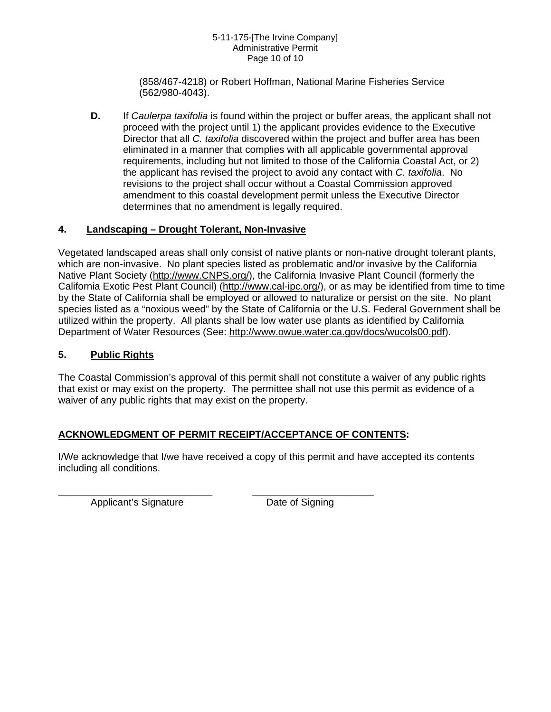#### 5-11-175-[The Irvine Company] Administrative Permit Page 10 of 10

(858/467-4218) or Robert Hoffman, National Marine Fisheries Service (562/980-4043).

**D.** If *Caulerpa taxifolia* is found within the project or buffer areas, the applicant shall not proceed with the project until 1) the applicant provides evidence to the Executive Director that all *C. taxifolia* discovered within the project and buffer area has been eliminated in a manner that complies with all applicable governmental approval requirements, including but not limited to those of the California Coastal Act, or 2) the applicant has revised the project to avoid any contact with *C. taxifolia*. No revisions to the project shall occur without a Coastal Commission approved amendment to this coastal development permit unless the Executive Director determines that no amendment is legally required.

## **4. Landscaping – Drought Tolerant, Non-Invasive**

Vegetated landscaped areas shall only consist of native plants or non-native drought tolerant plants, which are non-invasive. No plant species listed as problematic and/or invasive by the California Native Plant Society ([http://www.CNPS.org/\)](http://www.cnps.org/), the California Invasive Plant Council (formerly the California Exotic Pest Plant Council) ([http://www.cal-ipc.org/\)](http://www.cal-ipc.org/), or as may be identified from time to time by the State of California shall be employed or allowed to naturalize or persist on the site. No plant species listed as a "noxious weed" by the State of California or the U.S. Federal Government shall be utilized within the property. All plants shall be low water use plants as identified by California Department of Water Resources (See: [http://www.owue.water.ca.gov/docs/wucols00.pdf\)](http://www.owue.water.ca.gov/docs/wucols00.pdf).

## **5. Public Rights**

The Coastal Commission's approval of this permit shall not constitute a waiver of any public rights that exist or may exist on the property. The permittee shall not use this permit as evidence of a waiver of any public rights that may exist on the property.

## **ACKNOWLEDGMENT OF PERMIT RECEIPT/ACCEPTANCE OF CONTENTS:**

\_\_\_\_\_\_\_\_\_\_\_\_\_\_\_\_\_\_\_\_\_\_\_\_\_\_\_\_ \_\_\_\_\_\_\_\_\_\_\_\_\_\_\_\_\_\_\_\_\_\_

I/We acknowledge that I/we have received a copy of this permit and have accepted its contents including all conditions.

Applicant's Signature Date of Signing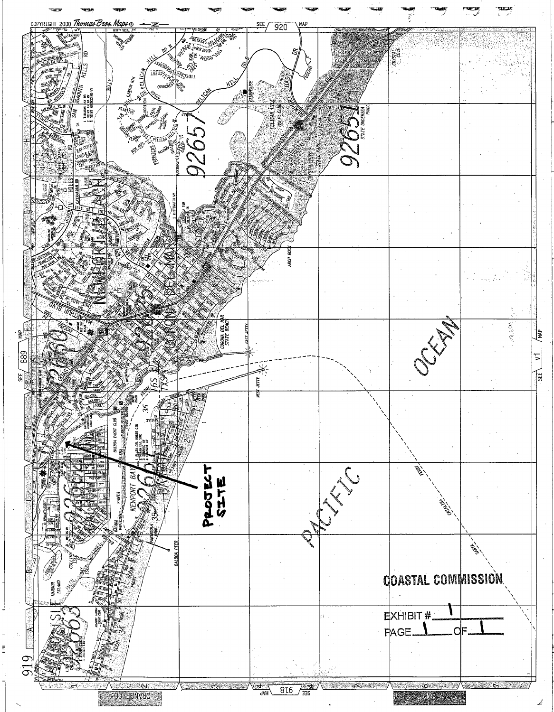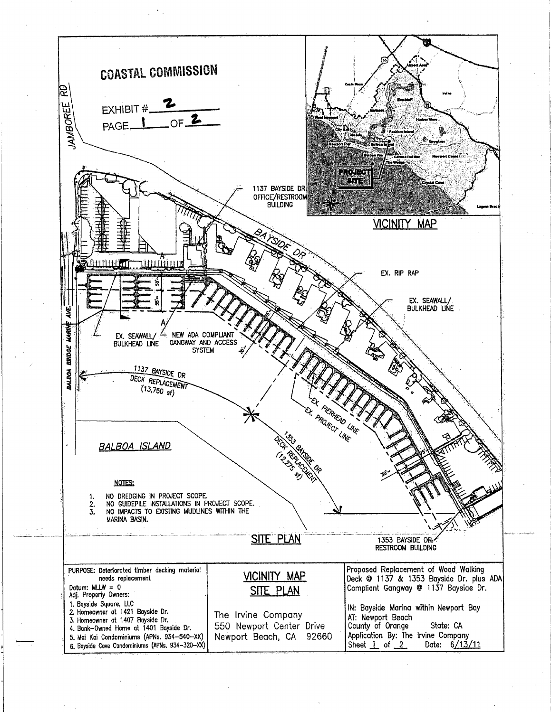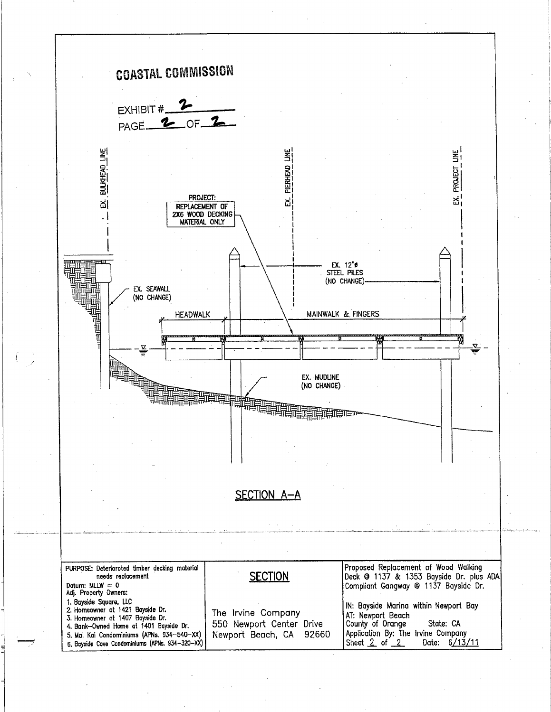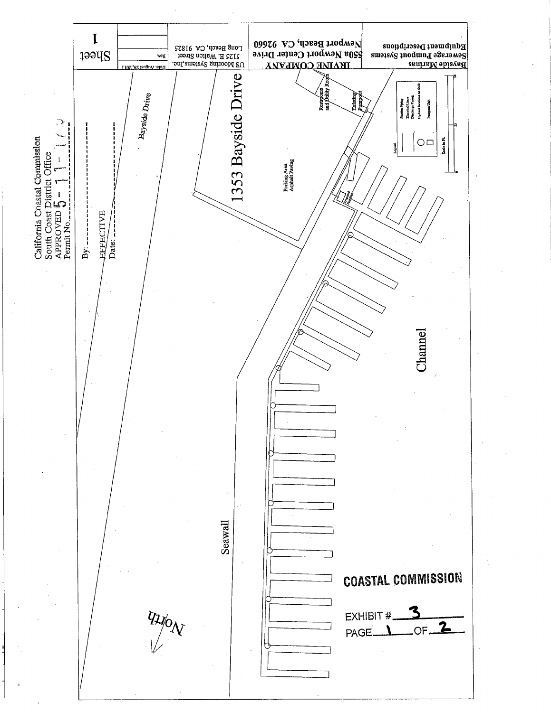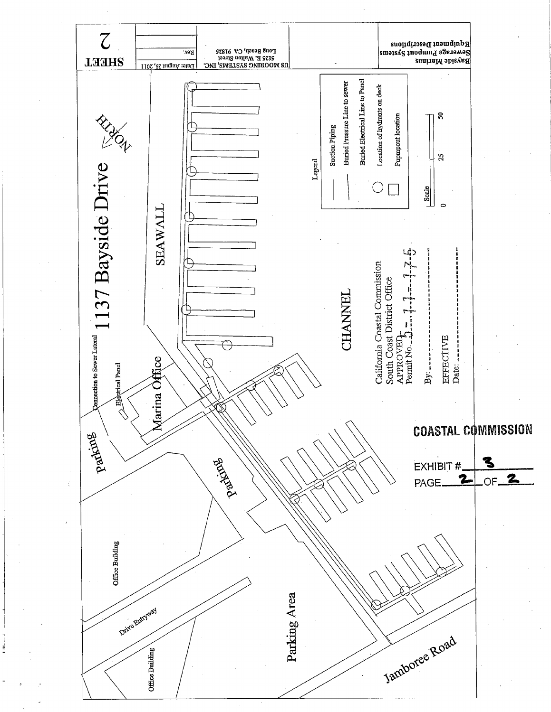